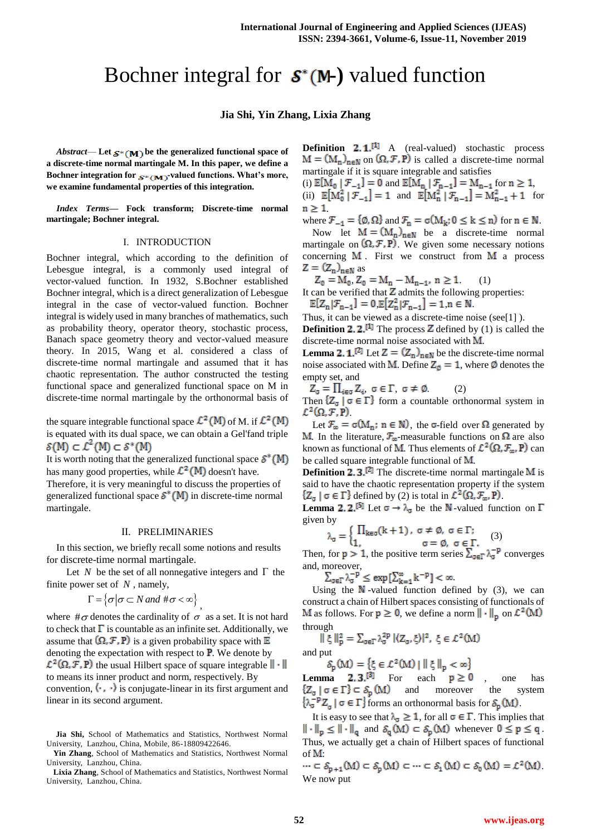# Bochner integral for  $S^*(M-)$  valued function

## **Jia Shi, Yin Zhang, Lixia Zhang**

*Abstract*— Let  $s*(M)$  be the generalized functional space of **a discrete-time normal martingale M. In this paper, we define a** Bochner integration for  $s*(M)$ -valued functions. What's more, **we examine fundamental properties of this integration.**

*Index Terms***— Fock transform; Discrete-time normal martingale; Bochner integral.**

#### I. INTRODUCTION

Bochner integral, which according to the definition of Lebesgue integral, is a commonly used integral of vector-valued function. In 1932, S.Bochner established Bochner integral, which is a direct generalization of Lebesgue integral in the case of vector-valued function. Bochner integral is widely used in many branches of mathematics, such as probability theory, operator theory, stochastic process, Banach space geometry theory and vector-valued measure theory. In 2015, Wang et al. considered a class of discrete-time normal martingale and assumed that it has chaotic representation. The author constructed the testing functional space and generalized functional space on M in discrete-time normal martingale by the orthonormal basis of

the square integrable functional space  $\mathcal{L}^2(M)$  of M. if  $\mathcal{L}^2(M)$ is equated with its dual space, we can obtain a Gel'fand triple  $\mathcal{S}(M) \subset \mathcal{L}^2(M) \subset \mathcal{S}^*(M)$ 

It is worth noting that the generalized functional space  $S^*(M)$ has many good properties, while  $\mathcal{L}^2(\mathsf{M})$  doesn't have.

Therefore, it is very meaningful to discuss the properties of generalized functional space  $S^*(M)$  in discrete-time normal martingale.

#### II. PRELIMINARIES

In this section, we briefly recall some notions and results for discrete-time normal martingale.

Let N be the set of all nonnegative integers and  $\Gamma$  the finite power set of  $N$ , namely,

$$
\Gamma = \{ \sigma | \sigma \subset N \text{ and } \#\sigma < \infty \},
$$

where  $\#\sigma$  denotes the cardinality of  $\sigma$  as a set. It is not hard to check that  $\Gamma$  is countable as an infinite set. Additionally, we assume that  $(\Omega, \mathcal{F}, P)$  is a given probability space with  $\mathbb{E}$ denoting the expectation with respect to  $\mathbf{P}$ . We denote by  $\mathcal{L}^2(\Omega, \mathcal{F}, P)$  the usual Hilbert space of square integrable  $\|\cdot\|$ to means its inner product and norm, respectively. By convention,  $\langle \cdot, \cdot \rangle$  is conjugate-linear in its first argument and linear in its second argument.

**Definition**  $2.1^{11}$  A (real-valued) stochastic process  $M = (M_n)_{n \in \mathbb{N}}$  on  $(\Omega, \mathcal{F}, P)$  is called a discrete-time normal martingale if it is square integrable and satisfies

(i)  $\mathbb{E}[M_0 | \mathcal{F}_{-1}] = 0$  and  $\mathbb{E}[M_n | \mathcal{F}_{n-1}] = M_{n-1}$  for  $n \ge 1$ , (ii)  $\mathbb{E}[M_0^2 | \mathcal{F}_{-1}] = 1$  and  $\mathbb{E}[M_n^2 | \mathcal{F}_{n-1}] = M_{n-1}^2 + 1$  for  $n \geq 1$ 

where  $\mathcal{F}_{-1} = \{\emptyset, \Omega\}$  and  $\mathcal{F}_{n} = \sigma(M_k; 0 \le k \le n)$  for  $n \in \mathbb{N}$ .

Now let  $M = (M_n)_{n \in \mathbb{N}}$  be a discrete-time normal martingale on  $(\Omega, \mathcal{F}, P)$ . We given some necessary notions concerning  $M$ . First we construct from  $M$  a process as

,  $Z_0 = M_n - M_{n-1}$ ,  $n \ge 1$  (1)

It can be verified that  $Z$  admits the following properties:  $\mathbb{E}[Z_n|\mathcal{F}_{n-1}] = 0 \mathbb{E}[Z_n^2|\mathcal{F}_{n-1}] = 1 \; n \in \mathbb{N}.$ 

Thus, it can be viewed as a discrete-time noise (see[1] ). **Definition 2.2.<sup>[1]</sup>** The process **Z** defined by (1) is called the discrete-time normal noise associated with  $M$ .

**Lemma 2. 1.**<sup>[2]</sup> Let  $Z = (Z_n)_{n \in \mathbb{N}}$  be the discrete-time normal noise associated with M. Define  $Z_{\emptyset} = 1$ , where  $\emptyset$  denotes the empty set, and

 $Z_{\sigma} = \prod_{i \in \sigma} Z_i, \ \sigma \in \Gamma, \ \sigma \neq \emptyset$  (2) Then  $\{Z_{\sigma} \mid \sigma \in \Gamma\}$  form a countable orthonormal system in  $\mathcal{L}^2(\Omega,\mathcal{F},\mathbf{P})$ .

Let  $\mathcal{F}_{\omega} = \sigma(M_n; n \in \mathbb{N})$ , the  $\sigma$ -field over  $\Omega$  generated by **M**. In the literature,  $\mathcal{F}_{\omega}$ -measurable functions on  $\Omega$  are also known as functional of **M**. Thus elements of  $\mathcal{L}^2(\Omega, \mathcal{F}_{\infty}, \mathbf{P})$  can be called square integrable functional of  $M$ .

**Definition 2.3.**<sup>[2]</sup> The discrete-time normal martingale  $\overline{M}$  is said to have the chaotic representation property if the system  ${Z_{\sigma} \mid \sigma \in \Gamma}$  defined by (2) is total in  $\mathcal{L}^2(\Omega, \mathcal{F}_{\omega}, \mathbb{P})$ .

**Lemma 2.2.**<sup>[5]</sup> Let  $\sigma \to \lambda_{\sigma}$  be the N-valued function on  $\Gamma$ given by

$$
\lambda_{\sigma} = \begin{cases} \prod_{k \in \sigma} (k+1), & \sigma \neq \emptyset, \sigma \in \Gamma; \\ 1, & \sigma = \emptyset, \sigma \in \Gamma. \end{cases} (3)
$$

Then, for  $p > 1$ , the positive term series  $\sum_{q \in \Gamma} \lambda_q^{-p}$  converges and, moreover,

 $\sum_{\sigma \in \Gamma} \lambda_{\sigma}^{-p} \leq \exp \left[ \sum_{k=1}^{\infty} k^{-p} \right] < \infty.$ 

Using the  $\mathbb N$ -valued function defined by (3), we can construct a chain of Hilbert spaces consisting of functionals of **M** as follows. For  $p \ge 0$ , we define a norm  $\|\cdot\|_p$  on  $\mathcal{L}^2(M)$ through

$$
\|\xi\|_{\mathbf{p}}^2 = \sum_{\sigma \in \Gamma} \lambda_{\sigma}^{2\mathbf{p}} | \langle \mathbf{Z}_{\sigma}, \xi \rangle |^2, \ \xi \in \mathcal{L}^2(\mathbf{M})
$$

and put

**Lemma 2.3.**<sup>[3]</sup> For each  $p \ge 0$ , one has and moreover the system forms an orthonormal basis for  $S_n(M)$ .

It is easy to see that  $\lambda_{\sigma} \geq 1$ , for all  $\sigma \in \Gamma$ . This implies that  $\|\cdot\|_p \le \|\cdot\|_q$  and  $\mathcal{S}_q(M) \subset \mathcal{S}_p(M)$  whenever  $0 \le p \le q$ . Thus, we actually get a chain of Hilbert spaces of functional of  $M$ :

 $\cdots \subset \mathcal{S}_{p+1}(M) \subset \mathcal{S}_p(M) \subset \cdots \subset \mathcal{S}_1(M) \subset \mathcal{S}_0(M) = \mathcal{L}^2(M).$ We now put

**Jia Shi,** School of Mathematics and Statistics, Northwest Normal University, Lanzhou, China, Mobile, 86-18809422646.

**Yin Zhang**, School of Mathematics and Statistics, Northwest Normal University, Lanzhou, China.

**Lixia Zhang**, School of Mathematics and Statistics, Northwest Normal University, Lanzhou, China.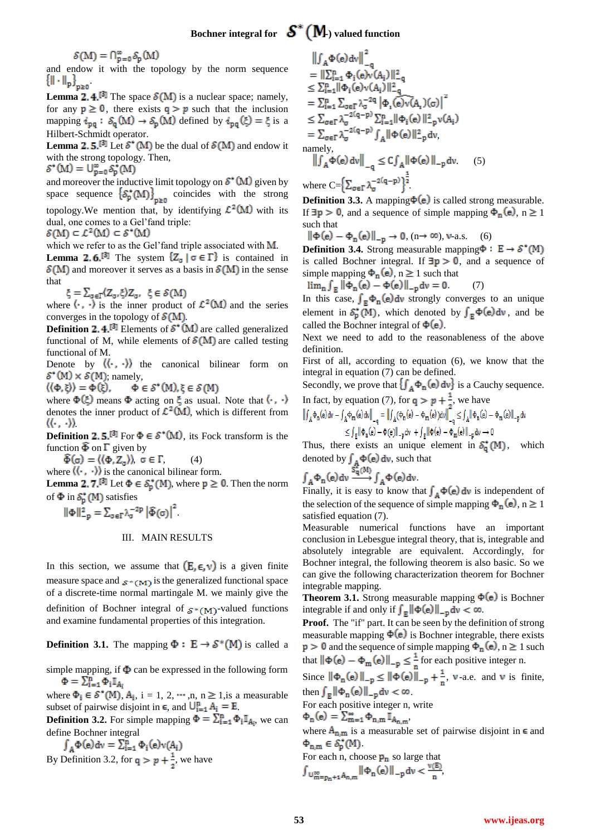$S(M) = \bigcap_{p=0}^{\infty} S_p(M)$ 

and endow it with the topology by the norm sequence  $\left\{\|\cdot\|_{\mathbf{p}}\right\}_{\mathbf{p}\geq \mathbf{0}}$ 

**Lemma 2.4.**<sup>[3]</sup> The space  $\mathcal{S}(M)$  is a nuclear space; namely, for any  $p \ge 0$ , there exists  $q > p$  such that the inclusion mapping  $i_{pq}: \delta_q(M) \to \delta_p(M)$  defined by  $i_{pq}(\xi) = \xi$  is a Hilbert-Schmidt operator.

**Lemma 2.5.**<sup>[3]</sup> Let  $\delta^*(M)$  be the dual of  $\delta(M)$  and endow it with the strong topology. Then,

 $S^*(M) = \bigcup_{p=0}^{\infty} S_p^*(M)$ 

and moreover the inductive limit topology on  $S^*(M)$  given by space sequence  $\{S_p^*(M)\}_{p\geq 0}$  coincides with the strong topology. We mention that, by identifying  $\mathcal{L}^2(M)$  with its dual, one comes to a Gel'fand triple:

 $\mathcal{S}(M) \subset \mathcal{L}^2(M) \subset \mathcal{S}^*(M)$ 

which we refer to as the Gel'fand triple associated with  $M$ .

**Lemma 2.6.**<sup>[3]</sup> The system  ${Z_{\sigma} | \sigma \in \Gamma}$  is contained in  $\mathcal{S}(M)$  and moreover it serves as a basis in  $\mathcal{S}(M)$  in the sense that

 $\xi = \sum_{\sigma \in \Gamma} \langle Z_{\sigma}, \xi \rangle Z_{\sigma}, \xi \in \mathcal{S}(M)$ 

where  $\langle \cdot, \cdot \rangle$  is the inner product of  $\mathcal{L}^2(M)$  and the series converges in the topology of  $\mathcal{S}(M)$ .

**Definition 2.4.<sup>[3]</sup>** Elements of  $S^*(M)$  are called generalized functional of M, while elements of  $\mathcal{S}(M)$  are called testing functional of M.

Denote by  $\langle \langle \cdot, \cdot \rangle \rangle$  the canonical bilinear form on  $\mathcal{S}^*(M) \times \mathcal{S}(M)$ ; namely,

 $\Phi \in \mathcal{S}^*(M), \xi \in \mathcal{S}(M)$  $\langle \langle \Phi, \xi \rangle \rangle = \Phi(\xi),$ 

where  $\Phi(\xi)$  means  $\Phi$  acting on  $\xi$  as usual. Note that  $\langle \cdot, \cdot \rangle$ denotes the inner product of  $\mathcal{L}^2(M)$ , which is different from  $\langle\langle\cdot,\cdot\rangle\rangle$ 

**Definition 2.5.**<sup>[3]</sup> For  $\Phi \in \mathcal{S}^*(M)$ , its Fock transform is the function  $\overline{\Phi}$  on  $\Gamma$  given by

 $\widehat{\Phi}(\sigma) = \langle \langle \Phi, Z_{\sigma} \rangle \rangle, \ \sigma \in \Gamma,$  (4)

where  $\langle \langle \cdot, \cdot \rangle \rangle$  is the canonical bilinear form.

**Lemma 2.7.**<sup>[3]</sup> Let  $\Phi \in \mathcal{S}_p^*(M)$ , where  $p \ge 0$ . Then the norm of  $\Phi$  in  $S_n^*(M)$  satisfies

 $\|\Phi\|_{-\mathsf{p}}^2 = \sum_{\sigma \in \Gamma} \lambda_{\sigma}^{-2\mathsf{p}} \left|\widehat{\Phi}(\sigma)\right|^2$ 

## III. MAIN RESULTS

In this section, we assume that  $(E, \epsilon, v)$  is a given finite measure space and  $s*(M)$  is the generalized functional space of a discrete-time normal martingale M. we mainly give the definition of Bochner integral of  $s*(M)$ -valued functions and examine fundamental properties of this integration.

**Definition 3.1.** The mapping  $\Phi : E \to S^*(M)$  is called a

simple mapping, if  $\Phi$  can be expressed in the following form  $\Phi = \sum_{i=1}^n \Phi_i I_{A_i}$ 

where  $\Phi_i \in \mathcal{S}^*(M)$ ,  $A_i$ ,  $i = 1, 2, \dots, n$ ,  $n \ge 1$ , is a measurable subset of pairwise disjoint in  $\epsilon$ , and  $\bigcup_{i=1}^{n} A_i = E$ .

**Definition 3.2.** For simple mapping  $\Phi = \sum_{i=1}^{n} \Phi_i \mathbb{I}_{A_i}$ , we can

define Bochner integral<br>  $\int_A \Phi(e) dv = \sum_{i=1}^n \Phi_i(e) v(A_i)$ By Definition 3.2, for  $q > p + \frac{1}{2}$ , we have

$$
\begin{aligned}\n\|\int_{A} \Phi(e) \, dv\|_{-q} &= \| \sum_{i=1}^{n} \Phi_{i}(e) v(A_{i}) \|_{-q}^{2} \\
&\leq \sum_{i=1}^{n} \|\Phi_{i}(e) v(A_{i}) \|_{-q}^{2} \\
&= \sum_{i=1}^{n} \sum_{\sigma \in \Gamma} \lambda_{\sigma}^{-2q} |\Phi_{i}(e) v(A_{i})(\sigma)|^{2} \\
&\leq \sum_{\sigma \in \Gamma} \lambda_{\sigma}^{-2(q-p)} \sum_{i=1}^{n} ||\Phi_{i}(e) ||_{-p}^{2} v(A_{i}) \\
&= \sum_{\sigma \in \Gamma} \lambda_{\sigma}^{-2(q-p)} \int_{A} ||\Phi(e) ||_{-p}^{2} dv, \\
\text{namely,} \\
\|\int_{A} \Phi(e) \, dv\|_{-q} &\leq C \int_{A} ||\Phi(e) ||_{-p} dv. \end{aligned} \tag{5}
$$

where  $C = \left\{ \sum_{\alpha \in \Gamma} \lambda_{\alpha}^{-2(q-p)} \right\}^{\frac{1}{2}}$ 

 $\sim$  2

**Definition 3.3.** A mapping  $\Phi(e)$  is called strong measurable. If  $\exists p > 0$ , and a sequence of simple mapping  $\Phi_n(e)$ , n  $\geq 1$ such that

 $\|\Phi(e) - \Phi_n(e)\|_{n \to 0} \to 0$ ,  $(n \to \infty)$ , v-a.s. (6)

**Definition 3.4.** Strong measurable mapping  $\Phi : E \rightarrow S^*(M)$ is called Bochner integral. If  $\exists p > 0$ , and a sequence of simple mapping  $\Phi_n(e)$ , n  $\geq 1$  such that

 $\lim_{n} \int_{R} ||\Phi_{n}(e) - \Phi(e)||_{-p} dv = 0$  (7)

In this case,  $\int_{\mathbb{R}} \Phi_n(e) dv$  strongly converges to an unique element in  $S_0^*(M)$ , which denoted by  $\int_{\mathbb{R}} \Phi(e) dv$ , and be called the Bochner integral of  $\Phi(e)$ .

Next we need to add to the reasonableness of the above definition.

First of all, according to equation (6), we know that the integral in equation (7) can be defined.

Secondly, we prove that  $\{\int_A \Phi_n(e) dv\}$  is a Cauchy sequence.

In fact, by equation (7), for  $q > p + \frac{1}{2}$ , we have<br>  $\left\| \int_{A} \Phi_{n}(e) dv - \int_{A} \Phi_{m}(e) dv \right\|_{-q} = \left\| \int_{A} (\Phi_{n}(e) - \Phi_{m}(e)) dv \right\|_{-q} \leq \int_{A} \left\| \Phi_{n}(e) - \Phi_{m}(e) \right\|_{-p} dv$ 

$$
\leq \textstyle{\int_{\mathbb{E}}\lVert \varphi_n(e) - \Phi(e) \rVert_{-p} dv \; + \int_{\mathbb{E}}\lVert \varphi(e) - \Phi_m(e) \rVert_{-p} dv \to 0}
$$

Thus, there exists an unique element in  $S_0^*(M)$ , which denoted by  $\int_{A} \Phi(e) dv$ , such that

$$
\int_A \Phi_n(e) dv \xrightarrow{S_n^*(M)} \int_A \Phi(e) dv
$$

Finally, it is easy to know that  $\int_{A} \Phi(e) dv$  is independent of the selection of the sequence of simple mapping  $\Phi_n(e)$ , n  $\geq 1$ satisfied equation (7).

Measurable numerical functions have an important conclusion in Lebesgue integral theory, that is, integrable and absolutely integrable are equivalent. Accordingly, for Bochner integral, the following theorem is also basic. So we can give the following characterization theorem for Bochner integrable mapping.

**Theorem 3.1.** Strong measurable mapping  $\Phi(e)$  is Bochner integrable if and only if  $\int_{\mathbb{R}} || \Phi(e) ||_{-\mathbb{p}} dv < \infty$ .

**Proof.** The "if" part. It can be seen by the definition of strong measurable mapping  $\Phi(e)$  is Bochner integrable, there exists  $p > 0$  and the sequence of simple mapping  $\Phi_n(e)$ ,  $n \ge 1$  such that  $\|\Phi(e) - \Phi_m(e)\|_{-p} \leq \frac{1}{n}$  for each positive integer n.

Since  $\|\Phi_n(e)\|_{-p} \le \|\Phi(e)\|_{-p} + \frac{1}{n}$ , v-a.e. and v is finite, then  $\int_{\mathbb{R}} ||\Phi_n(e)||_{-p} dv < \infty$ .

For each positive integer n, write

$$
\Phi_{n}(e) = \sum_{m=1}^{\infty} \Phi_{n,m} \mathbb{I}_{A_{n,m}}.
$$

where  $A_{n,m}$  is a measurable set of pairwise disjoint in  $\epsilon$  and  $\Phi_{n,m} \in \mathcal{S}_p^*(M)$ .

For each n, choose  $p_n$  so large that

$$
\int_{U_{m=p_{n}+1}^{\infty}A_{n,m}}\|\Phi_{n}(e)\|_{-p}dv<\frac{v(E)}{n},
$$